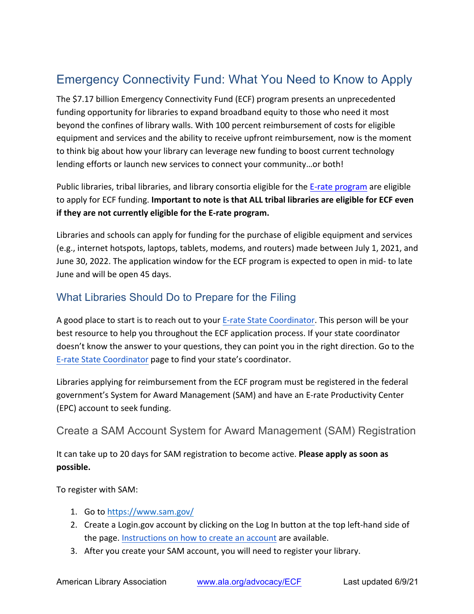# Emergency Connectivity Fund: What You Need to Know to Apply

The \$7.17 billion Emergency Connectivity Fund (ECF) program presents an unprecedented funding opportunity for libraries to expand broadband equity to those who need it most beyond the confines of library walls. With 100 percent reimbursement of costs for eligible equipment and services and the ability to receive upfront reimbursement, now is the moment to think big about how your library can leverage new funding to boost current technology lending efforts or launch new services to connect your community...or both!

Public libraries, tribal libraries, and library consortia eligible for the E-rate program are eligible to apply for ECF funding. **Important to note is that ALL tribal libraries are eligible for ECF even if they are not currently eligible for the E-rate program.** 

Libraries and schools can apply for funding for the purchase of eligible equipment and services (e.g., internet hotspots, laptops, tablets, modems, and routers) made between July 1, 2021, and June 30, 2022. The application window for the ECF program is expected to open in mid- to late June and will be open 45 days.

# What Libraries Should Do to Prepare for the Filing

A good place to start is to reach out to your E-rate State Coordinator. This person will be your best resource to help you throughout the ECF application process. If your state coordinator doesn't know the answer to your questions, they can point you in the right direction. Go to the E-rate State Coordinator page to find your state's coordinator.

Libraries applying for reimbursement from the ECF program must be registered in the federal government's System for Award Management (SAM) and have an E-rate Productivity Center (EPC) account to seek funding.

## Create a SAM Account System for Award Management (SAM) Registration

It can take up to 20 days for SAM registration to become active. **Please apply as soon as possible.**

To register with SAM:

- 1. Go to https://www.sam.gov/
- 2. Create a Login.gov account by clicking on the Log In button at the top left-hand side of the page. Instructions on how to create an account are available.
- 3. After you create your SAM account, you will need to register your library.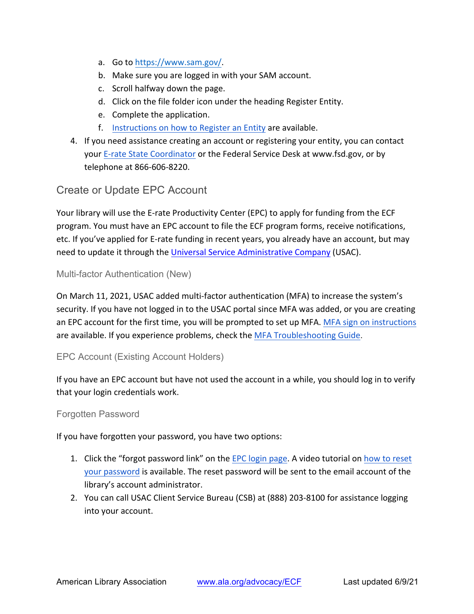- a. Go to https://www.sam.gov/.
- b. Make sure you are logged in with your SAM account.
- c. Scroll halfway down the page.
- d. Click on the file folder icon under the heading Register Entity.
- e. Complete the application.
- f. Instructions on how to Register an Entity are available.
- 4. If you need assistance creating an account or registering your entity, you can contact your E-rate State Coordinator or the Federal Service Desk at www.fsd.gov, or by telephone at 866-606-8220.

## Create or Update EPC Account

Your library will use the E-rate Productivity Center (EPC) to apply for funding from the ECF program. You must have an EPC account to file the ECF program forms, receive notifications, etc. If you've applied for E-rate funding in recent years, you already have an account, but may need to update it through the Universal Service Administrative Company (USAC).

### Multi-factor Authentication (New)

On March 11, 2021, USAC added multi-factor authentication (MFA) to increase the system's security. If you have not logged in to the USAC portal since MFA was added, or you are creating an EPC account for the first time, you will be prompted to set up MFA. MFA sign on instructions are available. If you experience problems, check the MFA Troubleshooting Guide.

### EPC Account (Existing Account Holders)

If you have an EPC account but have not used the account in a while, you should log in to verify that your login credentials work.

#### Forgotten Password

If you have forgotten your password, you have two options:

- 1. Click the "forgot password link" on the EPC login page. A video tutorial on how to reset your password is available. The reset password will be sent to the email account of the library's account administrator.
- 2. You can call USAC Client Service Bureau (CSB) at (888) 203-8100 for assistance logging into your account.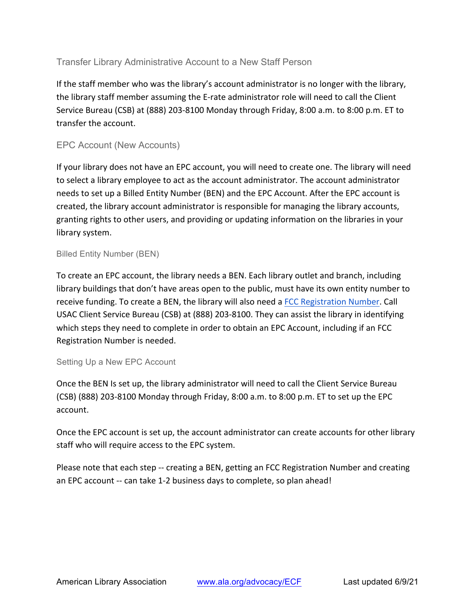### Transfer Library Administrative Account to a New Staff Person

If the staff member who was the library's account administrator is no longer with the library, the library staff member assuming the E-rate administrator role will need to call the Client Service Bureau (CSB) at (888) 203-8100 Monday through Friday, 8:00 a.m. to 8:00 p.m. ET to transfer the account.

#### EPC Account (New Accounts)

If your library does not have an EPC account, you will need to create one. The library will need to select a library employee to act as the account administrator. The account administrator needs to set up a Billed Entity Number (BEN) and the EPC Account. After the EPC account is created, the library account administrator is responsible for managing the library accounts, granting rights to other users, and providing or updating information on the libraries in your library system.

#### Billed Entity Number (BEN)

To create an EPC account, the library needs a BEN. Each library outlet and branch, including library buildings that don't have areas open to the public, must have its own entity number to receive funding. To create a BEN, the library will also need a FCC Registration Number. Call USAC Client Service Bureau (CSB) at (888) 203-8100. They can assist the library in identifying which steps they need to complete in order to obtain an EPC Account, including if an FCC Registration Number is needed.

#### Setting Up a New EPC Account

Once the BEN Is set up, the library administrator will need to call the Client Service Bureau  $(CSB)$  (888) 203-8100 Monday through Friday, 8:00 a.m. to 8:00 p.m. ET to set up the EPC account.

Once the EPC account is set up, the account administrator can create accounts for other library staff who will require access to the EPC system.

Please note that each step -- creating a BEN, getting an FCC Registration Number and creating an EPC account -- can take 1-2 business days to complete, so plan ahead!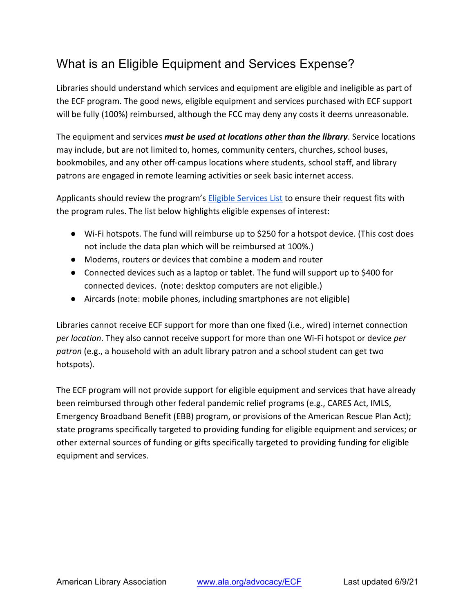# What is an Eligible Equipment and Services Expense?

Libraries should understand which services and equipment are eligible and ineligible as part of the ECF program. The good news, eligible equipment and services purchased with ECF support will be fully (100%) reimbursed, although the FCC may deny any costs it deems unreasonable.

The equipment and services *must be used at locations other than the library*. Service locations may include, but are not limited to, homes, community centers, churches, school buses, bookmobiles, and any other off-campus locations where students, school staff, and library patrons are engaged in remote learning activities or seek basic internet access.

Applicants should review the program's Eligible Services List to ensure their request fits with the program rules. The list below highlights eligible expenses of interest:

- Wi-Fi hotspots. The fund will reimburse up to \$250 for a hotspot device. (This cost does not include the data plan which will be reimbursed at 100%.)
- Modems, routers or devices that combine a modem and router
- Connected devices such as a laptop or tablet. The fund will support up to \$400 for connected devices. (note: desktop computers are not eligible.)
- Aircards (note: mobile phones, including smartphones are not eligible)

Libraries cannot receive ECF support for more than one fixed (i.e., wired) internet connection *per location*. They also cannot receive support for more than one Wi-Fi hotspot or device *per patron* (e.g., a household with an adult library patron and a school student can get two hotspots).

The ECF program will not provide support for eligible equipment and services that have already been reimbursed through other federal pandemic relief programs (e.g., CARES Act, IMLS, Emergency Broadband Benefit (EBB) program, or provisions of the American Rescue Plan Act); state programs specifically targeted to providing funding for eligible equipment and services; or other external sources of funding or gifts specifically targeted to providing funding for eligible equipment and services.